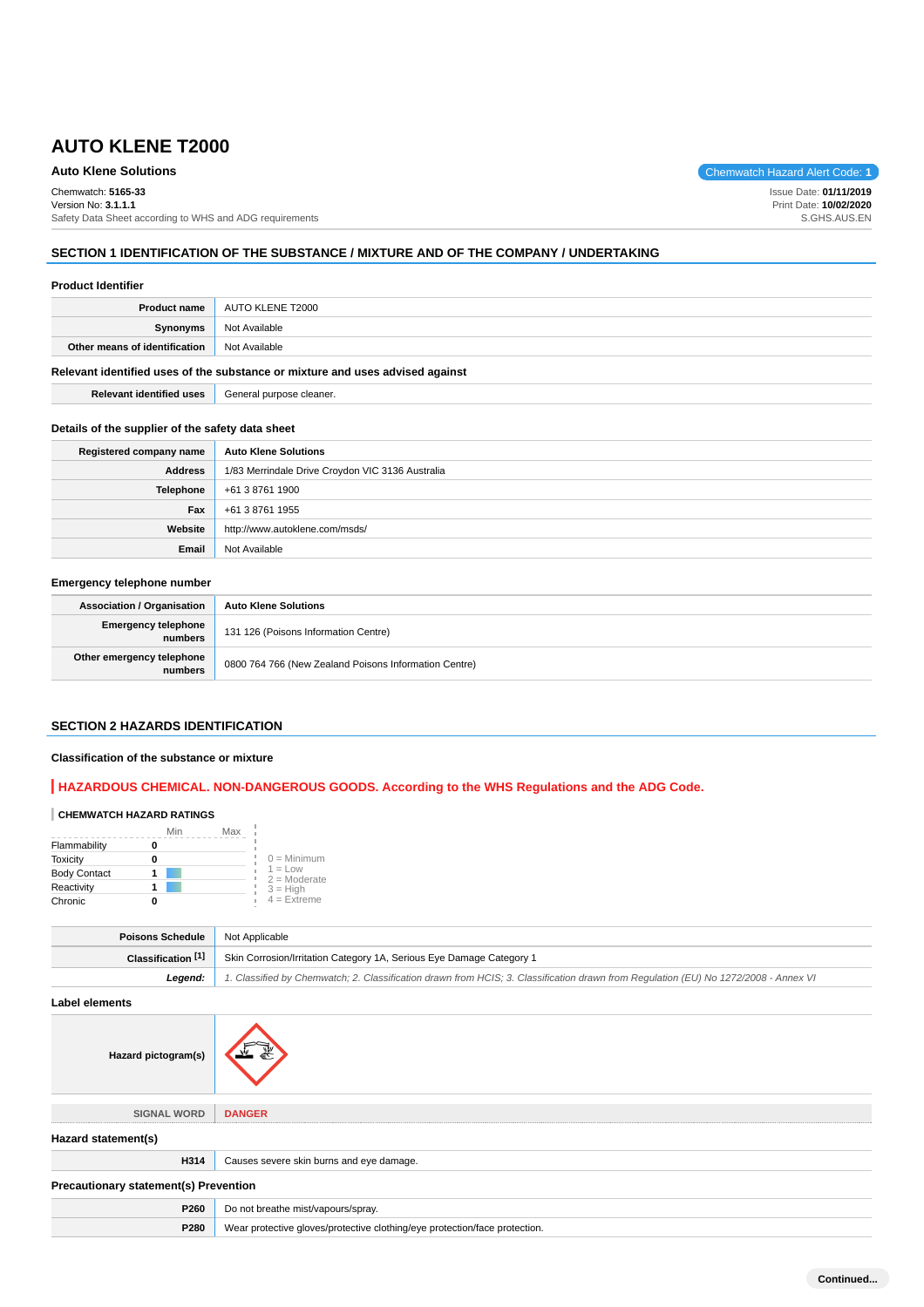## **Auto Klene Solutions** Chemwatch Hazard Alert Code: 1

Chemwatch: **5165-33**

Version No: **3.1.1.1** Safety Data Sheet according to WHS and ADG requirements

## **SECTION 1 IDENTIFICATION OF THE SUBSTANCE / MIXTURE AND OF THE COMPANY / UNDERTAKING**

#### **Product Identifier**

|                                                    | <b>Product name</b> AUTO KLENE T2000 |
|----------------------------------------------------|--------------------------------------|
| Synonyms                                           | Not Available                        |
| <b>Other means of identification</b> Not Available |                                      |
|                                                    |                                      |

#### **Relevant identified uses of the substance or mixture and uses advised against**

**Relevant identified uses** General purpose cleaner.

#### **Details of the supplier of the safety data sheet**

| Registered company name | <b>Auto Klene Solutions</b>                      |
|-------------------------|--------------------------------------------------|
| <b>Address</b>          | 1/83 Merrindale Drive Croydon VIC 3136 Australia |
| <b>Telephone</b>        | +61 3 8761 1900                                  |
| Fax                     | +61 3 8761 1955                                  |
| Website                 | http://www.autoklene.com/msds/                   |
| Email                   | Not Available                                    |

### **Emergency telephone number**

| <b>Association / Organisation</b>    | <b>Auto Klene Solutions</b>                           |
|--------------------------------------|-------------------------------------------------------|
| Emergency telephone<br>numbers       | 131 126 (Poisons Information Centre)                  |
| Other emergency telephone<br>numbers | 0800 764 766 (New Zealand Poisons Information Centre) |

## **SECTION 2 HAZARDS IDENTIFICATION**

#### **Classification of the substance or mixture**

## **HAZARDOUS CHEMICAL. NON-DANGEROUS GOODS. According to the WHS Regulations and the ADG Code.**

#### **CHEMWATCH HAZARD RATINGS**

|                     | Min | Max |                             |
|---------------------|-----|-----|-----------------------------|
| Flammability        |     |     |                             |
| <b>Toxicity</b>     |     |     | $0 =$ Minimum               |
| <b>Body Contact</b> |     |     | $1 = Low$<br>$2 =$ Moderate |
| Reactivity          |     |     | $3 = H$ igh                 |
| Chronic             |     |     | $4$ = Extreme               |

| <b>Poisons Schedule</b> Not Applicable |                                                                                                                                     |  |
|----------------------------------------|-------------------------------------------------------------------------------------------------------------------------------------|--|
| Classification $[1]$                   | Skin Corrosion/Irritation Category 1A, Serious Eye Damage Category 1                                                                |  |
| Leaend:                                | 1. Classified by Chemwatch; 2. Classification drawn from HCIS; 3. Classification drawn from Regulation (EU) No 1272/2008 - Annex VI |  |
|                                        |                                                                                                                                     |  |

**Label elements**

**Hazard pictogram(s)**

| <b>SIGNAL WORD</b>                           | <b>DANGER</b>                                                              |  |
|----------------------------------------------|----------------------------------------------------------------------------|--|
| Hazard statement(s)                          |                                                                            |  |
| H314                                         | Causes severe skin burns and eye damage.                                   |  |
| <b>Precautionary statement(s) Prevention</b> |                                                                            |  |
| P260                                         | Do not breathe mist/vapours/spray.                                         |  |
| P280                                         | Wear protective gloves/protective clothing/eye protection/face protection. |  |
|                                              |                                                                            |  |

**Continued...**

Issue Date: **01/11/2019** Print Date: **10/02/2020** S.GHS.AUS.EN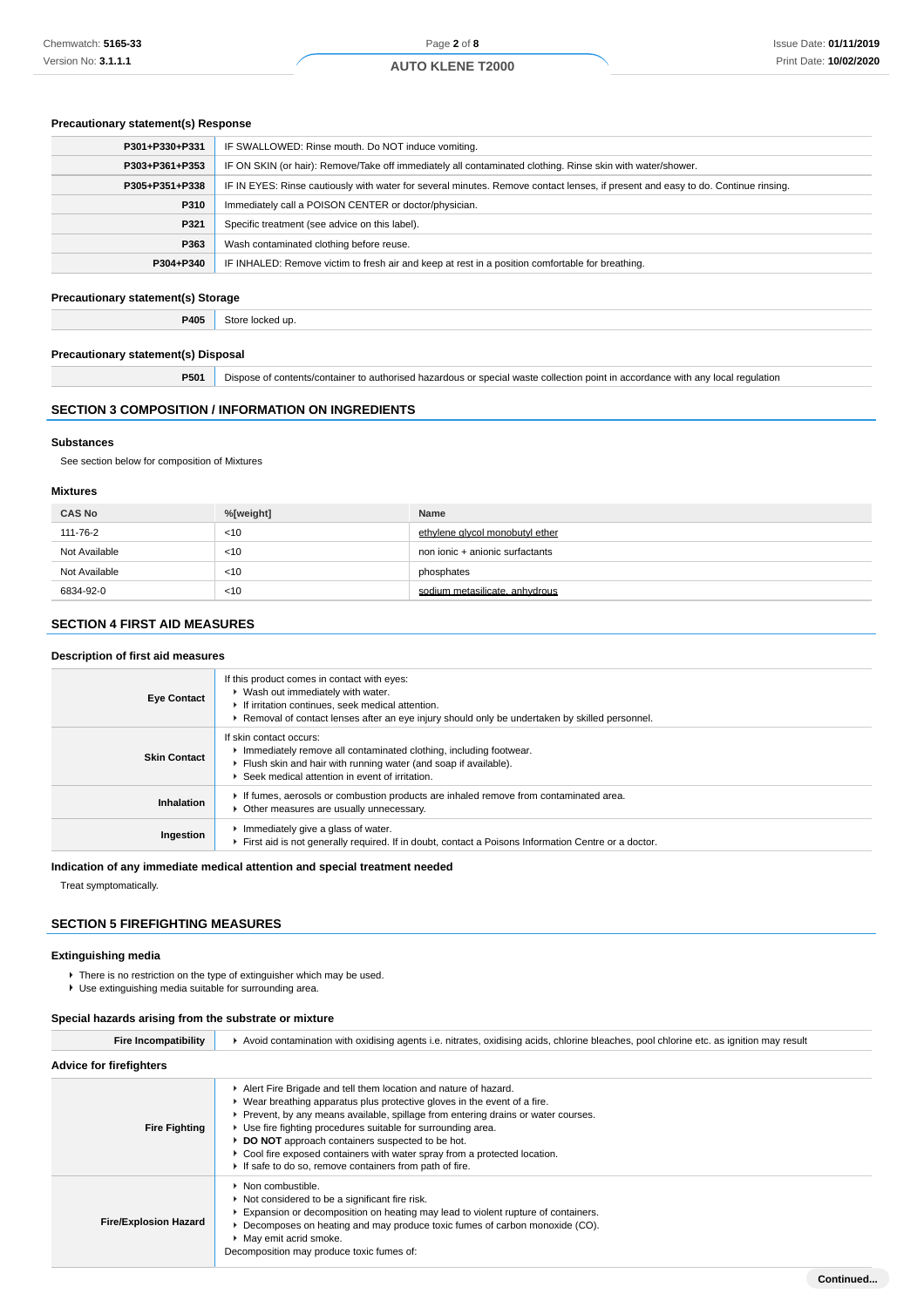### **Precautionary statement(s) Response**

| P301+P330+P331 | IF SWALLOWED: Rinse mouth. Do NOT induce vomiting.                                                                               |
|----------------|----------------------------------------------------------------------------------------------------------------------------------|
| P303+P361+P353 | IF ON SKIN (or hair): Remove/Take off immediately all contaminated clothing. Rinse skin with water/shower.                       |
| P305+P351+P338 | IF IN EYES: Rinse cautiously with water for several minutes. Remove contact lenses, if present and easy to do. Continue rinsing. |
| P310           | Immediately call a POISON CENTER or doctor/physician.                                                                            |
| P321           | Specific treatment (see advice on this label).                                                                                   |
| P363           | Wash contaminated clothing before reuse.                                                                                         |
| P304+P340      | IF INHALED: Remove victim to fresh air and keep at rest in a position comfortable for breathing.                                 |

## **Precautionary statement(s) Storage**

**P405** Store locked up.

## **Precautionary statement(s) Disposal**

**P501** Dispose of contents/container to authorised hazardous or special waste collection point in accordance with any local regulation

### **SECTION 3 COMPOSITION / INFORMATION ON INGREDIENTS**

#### **Substances**

See section below for composition of Mixtures

#### **Mixtures**

| <b>CAS No</b> | %[weight] | Name                            |
|---------------|-----------|---------------------------------|
| 111-76-2      | $<$ 10    | ethylene givcol monobutyl ether |
| Not Available | $<$ 10    | non ionic + anionic surfactants |
| Not Available | $<$ 10    | phosphates                      |
| 6834-92-0     | $<$ 10    | sodium metasilicate, anhydrous  |

## **SECTION 4 FIRST AID MEASURES**

#### **Description of first aid measures**

| <b>Eye Contact</b>  | If this product comes in contact with eyes:<br>▶ Wash out immediately with water.<br>If irritation continues, seek medical attention.<br>► Removal of contact lenses after an eye injury should only be undertaken by skilled personnel. |
|---------------------|------------------------------------------------------------------------------------------------------------------------------------------------------------------------------------------------------------------------------------------|
| <b>Skin Contact</b> | If skin contact occurs:<br>Immediately remove all contaminated clothing, including footwear.<br>Flush skin and hair with running water (and soap if available).<br>▶ Seek medical attention in event of irritation.                      |
| Inhalation          | If fumes, aerosols or combustion products are inhaled remove from contaminated area.<br>Other measures are usually unnecessary.                                                                                                          |
| Ingestion           | Immediately give a glass of water.<br>First aid is not generally required. If in doubt, contact a Poisons Information Centre or a doctor.                                                                                                |

#### **Indication of any immediate medical attention and special treatment needed**

Treat symptomatically.

## **SECTION 5 FIREFIGHTING MEASURES**

### **Extinguishing media**

- ▶ There is no restriction on the type of extinguisher which may be used.
- Use extinguishing media suitable for surrounding area.

### **Special hazards arising from the substrate or mixture**

| <b>Fire Incompatibility</b>    | ► Avoid contamination with oxidising agents i.e. nitrates, oxidising acids, chlorine bleaches, pool chlorine etc. as ignition may result                                                                                                                                                                                                                                                                                                                                                                           |
|--------------------------------|--------------------------------------------------------------------------------------------------------------------------------------------------------------------------------------------------------------------------------------------------------------------------------------------------------------------------------------------------------------------------------------------------------------------------------------------------------------------------------------------------------------------|
| <b>Advice for firefighters</b> |                                                                                                                                                                                                                                                                                                                                                                                                                                                                                                                    |
| <b>Fire Fighting</b>           | Alert Fire Brigade and tell them location and nature of hazard.<br>$\blacktriangleright$ Wear breathing apparatus plus protective gloves in the event of a fire.<br>▶ Prevent, by any means available, spillage from entering drains or water courses.<br>• Use fire fighting procedures suitable for surrounding area.<br>▶ DO NOT approach containers suspected to be hot.<br>Cool fire exposed containers with water spray from a protected location.<br>If safe to do so, remove containers from path of fire. |
| <b>Fire/Explosion Hazard</b>   | $\blacktriangleright$ Non combustible.<br>Not considered to be a significant fire risk.<br>Expansion or decomposition on heating may lead to violent rupture of containers.<br>▶ Decomposes on heating and may produce toxic fumes of carbon monoxide (CO).<br>• May emit acrid smoke.<br>Decomposition may produce toxic fumes of:                                                                                                                                                                                |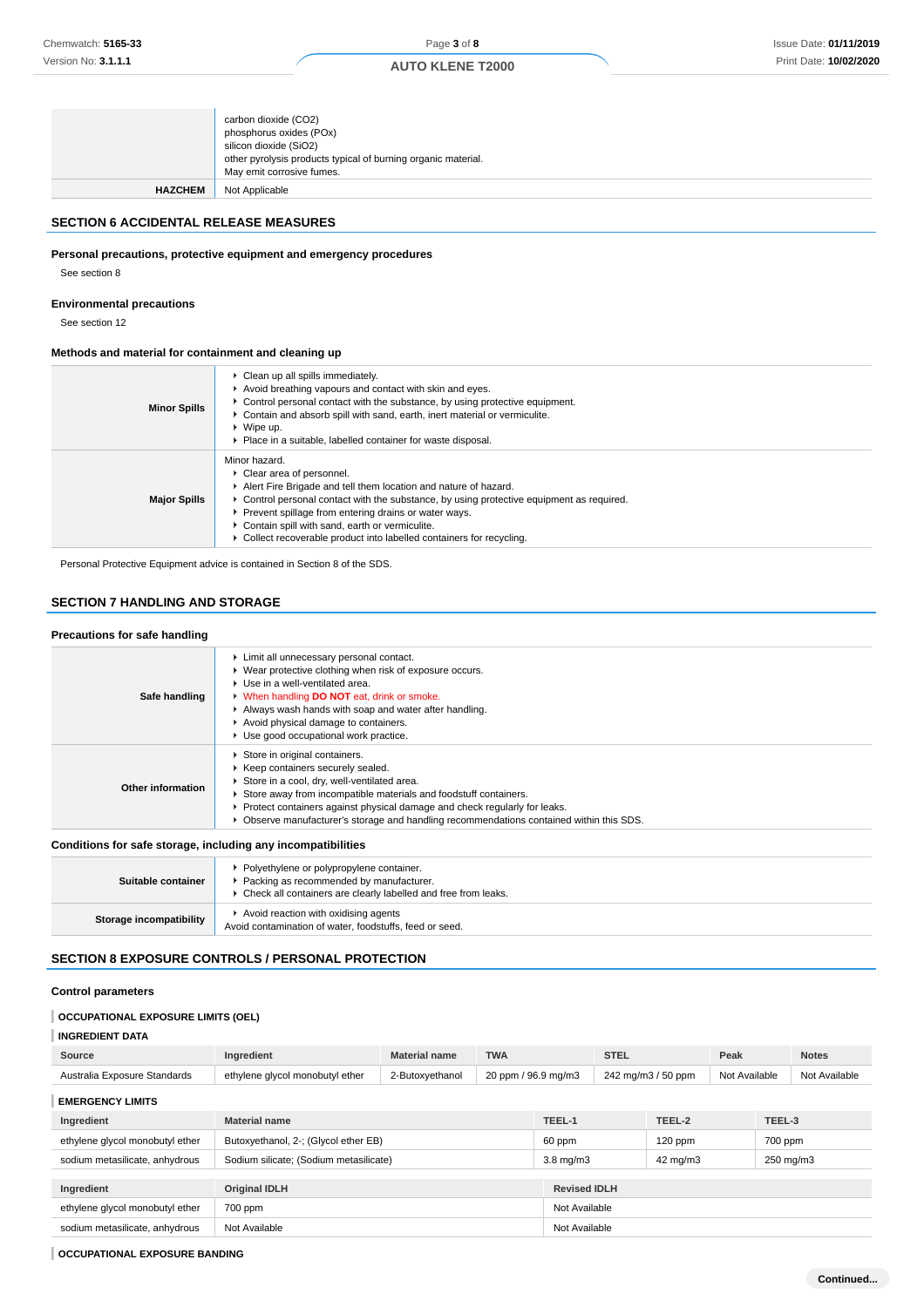| <b>HAZCHEM</b> | other pyrolysis products typical of burning organic material.<br>May emit corrosive fumes.<br>Not Applicable |
|----------------|--------------------------------------------------------------------------------------------------------------|
|                | carbon dioxide (CO2)<br>phosphorus oxides (POx)<br>silicon dioxide (SiO2)                                    |

## **SECTION 6 ACCIDENTAL RELEASE MEASURES**

# **Personal precautions, protective equipment and emergency procedures**

See section 8

#### **Environmental precautions**

See section 12

### **Methods and material for containment and cleaning up**

| <b>Minor Spills</b> | • Clean up all spills immediately.<br>Avoid breathing vapours and contact with skin and eyes.<br>► Control personal contact with the substance, by using protective equipment.<br>Contain and absorb spill with sand, earth, inert material or vermiculite.<br>$\blacktriangleright$ Wipe up.<br>• Place in a suitable, labelled container for waste disposal.                                                |
|---------------------|---------------------------------------------------------------------------------------------------------------------------------------------------------------------------------------------------------------------------------------------------------------------------------------------------------------------------------------------------------------------------------------------------------------|
| <b>Major Spills</b> | Minor hazard.<br>• Clear area of personnel.<br>Alert Fire Brigade and tell them location and nature of hazard.<br>$\triangleright$ Control personal contact with the substance, by using protective equipment as required.<br>Prevent spillage from entering drains or water ways.<br>Contain spill with sand, earth or vermiculite.<br>► Collect recoverable product into labelled containers for recycling. |

Personal Protective Equipment advice is contained in Section 8 of the SDS.

## **SECTION 7 HANDLING AND STORAGE**

### **Precautions for safe handling**

| Safe handling     | Limit all unnecessary personal contact.<br>• Wear protective clothing when risk of exposure occurs.<br>Use in a well-ventilated area.<br>• When handling DO NOT eat, drink or smoke.<br>Always wash hands with soap and water after handling.<br>Avoid physical damage to containers.<br>Use good occupational work practice.                                   |
|-------------------|-----------------------------------------------------------------------------------------------------------------------------------------------------------------------------------------------------------------------------------------------------------------------------------------------------------------------------------------------------------------|
| Other information | Store in original containers.<br>▶ Keep containers securely sealed.<br>Store in a cool, dry, well-ventilated area.<br>Store away from incompatible materials and foodstuff containers.<br>Protect containers against physical damage and check regularly for leaks.<br>► Observe manufacturer's storage and handling recommendations contained within this SDS. |

## **Conditions for safe storage, including any incompatibilities**

| Suitable container             | ▶ Polyethylene or polypropylene container.<br>Packing as recommended by manufacturer.<br>• Check all containers are clearly labelled and free from leaks. |
|--------------------------------|-----------------------------------------------------------------------------------------------------------------------------------------------------------|
| <b>Storage incompatibility</b> | Avoid reaction with oxidising agents<br>Avoid contamination of water, foodstuffs, feed or seed.                                                           |

## **SECTION 8 EXPOSURE CONTROLS / PERSONAL PROTECTION**

## **Control parameters**

## **OCCUPATIONAL EXPOSURE LIMITS (OEL)**

**INGREDIENT DATA**

| Source                          | Ingredient                             | <b>TWA</b><br><b>Material name</b>     |  | <b>STEL</b>         |                    | Peak      |               | <b>Notes</b> |               |
|---------------------------------|----------------------------------------|----------------------------------------|--|---------------------|--------------------|-----------|---------------|--------------|---------------|
| Australia Exposure Standards    | ethylene glycol monobutyl ether        | 20 ppm / 96.9 mg/m3<br>2-Butoxyethanol |  |                     | 242 mg/m3 / 50 ppm |           | Not Available |              | Not Available |
| <b>EMERGENCY LIMITS</b>         |                                        |                                        |  |                     |                    |           |               |              |               |
| Ingredient                      | <b>Material name</b>                   |                                        |  | TEEL-1              |                    | TEEL-2    |               | TEEL-3       |               |
| ethylene glycol monobutyl ether | Butoxyethanol, 2-; (Glycol ether EB)   |                                        |  | 60 ppm              |                    | $120$ ppm |               | 700 ppm      |               |
| sodium metasilicate, anhydrous  | Sodium silicate; (Sodium metasilicate) |                                        |  | $3.8 \text{ mg/m}$  |                    | 42 mg/m3  |               | 250 mg/m3    |               |
|                                 |                                        |                                        |  |                     |                    |           |               |              |               |
| Ingredient                      | <b>Original IDLH</b>                   |                                        |  | <b>Revised IDLH</b> |                    |           |               |              |               |
| ethylene glycol monobutyl ether | 700 ppm                                |                                        |  | Not Available       |                    |           |               |              |               |
| sodium metasilicate, anhydrous  | Not Available                          |                                        |  | Not Available       |                    |           |               |              |               |

### **OCCUPATIONAL EXPOSURE BANDING**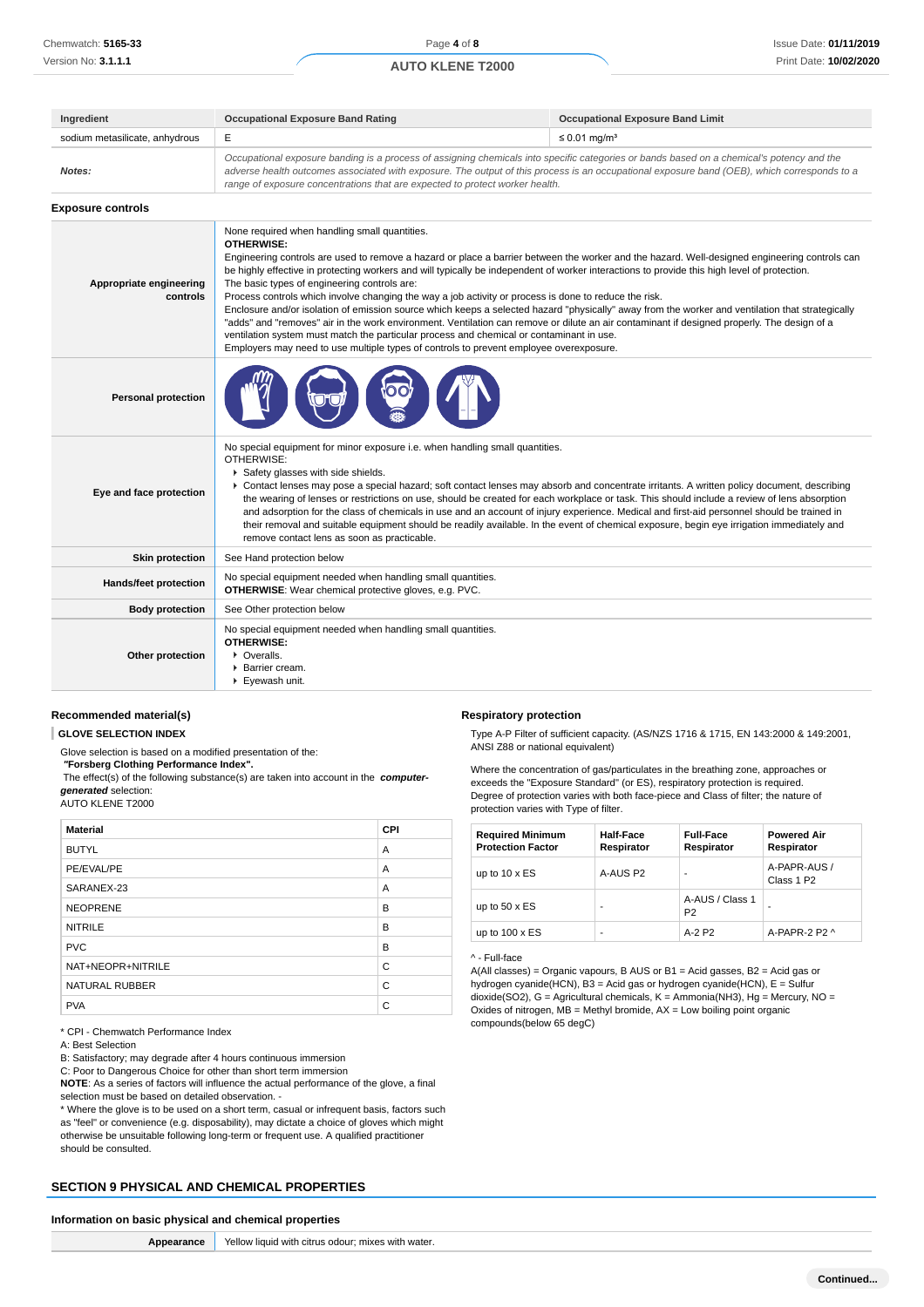| Ingredient                          | <b>Occupational Exposure Band Rating</b>                                                                                                                                                                                                                                                                                                                                                                                                                                                                                                                                                                                                                                                                                                                                                                                                                                                                                                                                                                              | <b>Occupational Exposure Band Limit</b> |  |  |
|-------------------------------------|-----------------------------------------------------------------------------------------------------------------------------------------------------------------------------------------------------------------------------------------------------------------------------------------------------------------------------------------------------------------------------------------------------------------------------------------------------------------------------------------------------------------------------------------------------------------------------------------------------------------------------------------------------------------------------------------------------------------------------------------------------------------------------------------------------------------------------------------------------------------------------------------------------------------------------------------------------------------------------------------------------------------------|-----------------------------------------|--|--|
| sodium metasilicate, anhydrous      | Е                                                                                                                                                                                                                                                                                                                                                                                                                                                                                                                                                                                                                                                                                                                                                                                                                                                                                                                                                                                                                     | $\leq 0.01$ mg/m <sup>3</sup>           |  |  |
| Notes:                              | Occupational exposure banding is a process of assigning chemicals into specific categories or bands based on a chemical's potency and the<br>adverse health outcomes associated with exposure. The output of this process is an occupational exposure band (OEB), which corresponds to a<br>range of exposure concentrations that are expected to protect worker health.                                                                                                                                                                                                                                                                                                                                                                                                                                                                                                                                                                                                                                              |                                         |  |  |
| <b>Exposure controls</b>            |                                                                                                                                                                                                                                                                                                                                                                                                                                                                                                                                                                                                                                                                                                                                                                                                                                                                                                                                                                                                                       |                                         |  |  |
| Appropriate engineering<br>controls | None required when handling small quantities.<br><b>OTHERWISE:</b><br>Engineering controls are used to remove a hazard or place a barrier between the worker and the hazard. Well-designed engineering controls can<br>be highly effective in protecting workers and will typically be independent of worker interactions to provide this high level of protection.<br>The basic types of engineering controls are:<br>Process controls which involve changing the way a job activity or process is done to reduce the risk.<br>Enclosure and/or isolation of emission source which keeps a selected hazard "physically" away from the worker and ventilation that strategically<br>"adds" and "removes" air in the work environment. Ventilation can remove or dilute an air contaminant if designed properly. The design of a<br>ventilation system must match the particular process and chemical or contaminant in use.<br>Employers may need to use multiple types of controls to prevent employee overexposure. |                                         |  |  |
| <b>Personal protection</b>          |                                                                                                                                                                                                                                                                                                                                                                                                                                                                                                                                                                                                                                                                                                                                                                                                                                                                                                                                                                                                                       |                                         |  |  |
| Eye and face protection             | No special equipment for minor exposure i.e. when handling small quantities.<br>OTHERWISE:<br>Safety glasses with side shields.<br>▶ Contact lenses may pose a special hazard; soft contact lenses may absorb and concentrate irritants. A written policy document, describing<br>the wearing of lenses or restrictions on use, should be created for each workplace or task. This should include a review of lens absorption<br>and adsorption for the class of chemicals in use and an account of injury experience. Medical and first-aid personnel should be trained in<br>their removal and suitable equipment should be readily available. In the event of chemical exposure, begin eye irrigation immediately and<br>remove contact lens as soon as practicable.                                                                                                                                                                                                                                               |                                         |  |  |
| <b>Skin protection</b>              | See Hand protection below                                                                                                                                                                                                                                                                                                                                                                                                                                                                                                                                                                                                                                                                                                                                                                                                                                                                                                                                                                                             |                                         |  |  |
| Hands/feet protection               | No special equipment needed when handling small quantities.<br><b>OTHERWISE:</b> Wear chemical protective gloves, e.g. PVC.                                                                                                                                                                                                                                                                                                                                                                                                                                                                                                                                                                                                                                                                                                                                                                                                                                                                                           |                                         |  |  |
| <b>Body protection</b>              | See Other protection below                                                                                                                                                                                                                                                                                                                                                                                                                                                                                                                                                                                                                                                                                                                                                                                                                                                                                                                                                                                            |                                         |  |  |
| Other protection                    | No special equipment needed when handling small quantities.<br><b>OTHERWISE:</b><br>• Overalls.<br>▶ Barrier cream.<br>Eyewash unit.                                                                                                                                                                                                                                                                                                                                                                                                                                                                                                                                                                                                                                                                                                                                                                                                                                                                                  |                                         |  |  |

## **Recommended material(s)**

**GLOVE SELECTION INDEX**

Glove selection is based on a modified presentation of the:

 **"Forsberg Clothing Performance Index".**

 The effect(s) of the following substance(s) are taken into account in the **computergenerated** selection:

AUTO KLENE T2000

| <b>Material</b>       | <b>CPI</b> |
|-----------------------|------------|
| <b>BUTYL</b>          | A          |
| PE/EVAL/PE            | A          |
| SARANEX-23            | A          |
| <b>NEOPRENE</b>       | B          |
| <b>NITRILE</b>        | B          |
| <b>PVC</b>            | B          |
| NAT+NEOPR+NITRILE     | C          |
| <b>NATURAL RUBBER</b> | C          |
| <b>PVA</b>            | C          |

\* CPI - Chemwatch Performance Index

A: Best Selection

B: Satisfactory; may degrade after 4 hours continuous immersion

C: Poor to Dangerous Choice for other than short term immersion

**NOTE**: As a series of factors will influence the actual performance of the glove, a final selection must be based on detailed observation. -

\* Where the glove is to be used on a short term, casual or infrequent basis, factors such as "feel" or convenience (e.g. disposability), may dictate a choice of gloves which might otherwise be unsuitable following long-term or frequent use. A qualified practitioner should be consulted.

## **SECTION 9 PHYSICAL AND CHEMICAL PROPERTIES**

#### **Information on basic physical and chemical properties**

**Appearance** Yellow liquid with citrus odour; mixes with water.

#### **Respiratory protection**

Type A-P Filter of sufficient capacity. (AS/NZS 1716 & 1715, EN 143:2000 & 149:2001, ANSI Z88 or national equivalent)

Where the concentration of gas/particulates in the breathing zone, approaches or exceeds the "Exposure Standard" (or ES), respiratory protection is required. Degree of protection varies with both face-piece and Class of filter; the nature of protection varies with Type of filter.

| <b>Required Minimum</b><br><b>Protection Factor</b> | <b>Half-Face</b><br>Respirator | <b>Full-Face</b><br>Respirator    | <b>Powered Air</b><br>Respirator       |
|-----------------------------------------------------|--------------------------------|-----------------------------------|----------------------------------------|
| up to $10 \times ES$                                | A-AUS P2                       |                                   | A-PAPR-AUS /<br>Class 1 P <sub>2</sub> |
| up to $50 \times ES$                                |                                | A-AUS / Class 1<br>P <sub>2</sub> |                                        |
| up to $100 \times ES$                               |                                | $A-2P2$                           | A-PAPR-2 P2 ^                          |

#### ^ - Full-face

A(All classes) = Organic vapours, B AUS or B1 = Acid gasses, B2 = Acid gas or hydrogen cyanide(HCN), B3 = Acid gas or hydrogen cyanide(HCN), E = Sulfur dioxide(SO2), G = Agricultural chemicals, K = Ammonia(NH3), Hg = Mercury, NO = Oxides of nitrogen,  $\overline{MB}$  = Methyl bromide,  $AX$  = Low boiling point organic compounds(below 65 degC)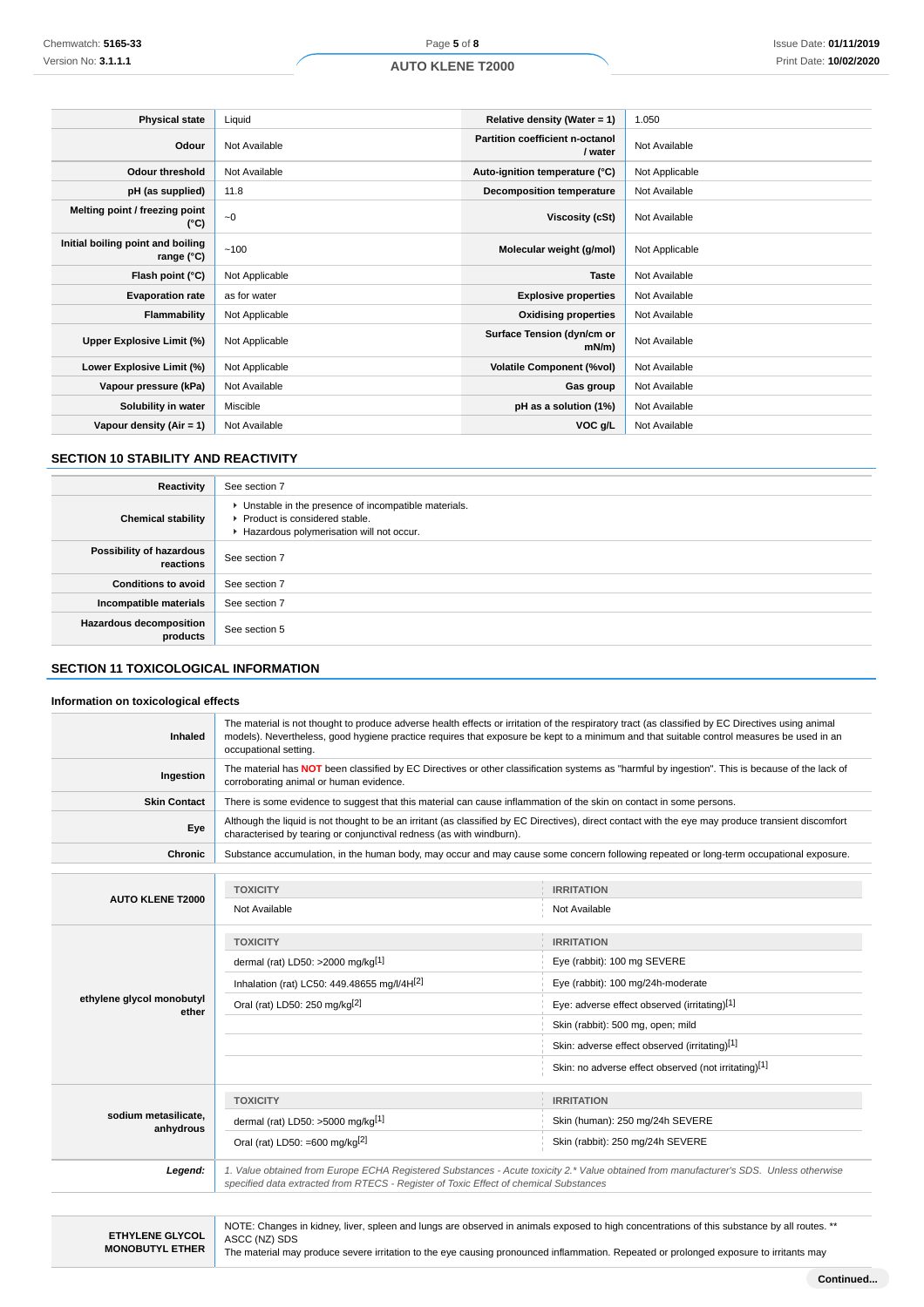| <b>Physical state</b>                           | Liquid         | Relative density (Water = $1$ )            | 1.050          |
|-------------------------------------------------|----------------|--------------------------------------------|----------------|
| Odour                                           | Not Available  | Partition coefficient n-octanol<br>/ water | Not Available  |
| <b>Odour threshold</b>                          | Not Available  | Auto-ignition temperature (°C)             | Not Applicable |
| pH (as supplied)                                | 11.8           | <b>Decomposition temperature</b>           | Not Available  |
| Melting point / freezing point<br>(°C)          | $-0$           | Viscosity (cSt)                            | Not Available  |
| Initial boiling point and boiling<br>range (°C) | ~100           | Molecular weight (g/mol)                   | Not Applicable |
| Flash point (°C)                                | Not Applicable | <b>Taste</b>                               | Not Available  |
| <b>Evaporation rate</b>                         | as for water   | <b>Explosive properties</b>                | Not Available  |
| Flammability                                    | Not Applicable | <b>Oxidising properties</b>                | Not Available  |
| Upper Explosive Limit (%)                       | Not Applicable | Surface Tension (dyn/cm or<br>$mN/m$ )     | Not Available  |
| Lower Explosive Limit (%)                       | Not Applicable | <b>Volatile Component (%vol)</b>           | Not Available  |
| Vapour pressure (kPa)                           | Not Available  | Gas group                                  | Not Available  |
| Solubility in water                             | Miscible       | pH as a solution (1%)                      | Not Available  |
| Vapour density $(Air = 1)$                      | Not Available  | VOC g/L                                    | Not Available  |

## **SECTION 10 STABILITY AND REACTIVITY**

| Reactivity                                 | See section 7                                                                                                                        |
|--------------------------------------------|--------------------------------------------------------------------------------------------------------------------------------------|
| <b>Chemical stability</b>                  | • Unstable in the presence of incompatible materials.<br>▶ Product is considered stable.<br>Hazardous polymerisation will not occur. |
| Possibility of hazardous<br>reactions      | See section 7                                                                                                                        |
| <b>Conditions to avoid</b>                 | See section 7                                                                                                                        |
| Incompatible materials                     | See section 7                                                                                                                        |
| <b>Hazardous decomposition</b><br>products | See section 5                                                                                                                        |

## **SECTION 11 TOXICOLOGICAL INFORMATION**

### **Information on toxicological effects**

| Inhaled                            | The material is not thought to produce adverse health effects or irritation of the respiratory tract (as classified by EC Directives using animal<br>models). Nevertheless, good hygiene practice requires that exposure be kept to a minimum and that suitable control measures be used in an<br>occupational setting. |                                                                                                                                                     |  |  |
|------------------------------------|-------------------------------------------------------------------------------------------------------------------------------------------------------------------------------------------------------------------------------------------------------------------------------------------------------------------------|-----------------------------------------------------------------------------------------------------------------------------------------------------|--|--|
| Ingestion                          | The material has NOT been classified by EC Directives or other classification systems as "harmful by ingestion". This is because of the lack of<br>corroborating animal or human evidence.                                                                                                                              |                                                                                                                                                     |  |  |
| <b>Skin Contact</b>                | There is some evidence to suggest that this material can cause inflammation of the skin on contact in some persons.                                                                                                                                                                                                     |                                                                                                                                                     |  |  |
| Eye                                | characterised by tearing or conjunctival redness (as with windburn).                                                                                                                                                                                                                                                    | Although the liquid is not thought to be an irritant (as classified by EC Directives), direct contact with the eye may produce transient discomfort |  |  |
| Chronic                            |                                                                                                                                                                                                                                                                                                                         | Substance accumulation, in the human body, may occur and may cause some concern following repeated or long-term occupational exposure.              |  |  |
|                                    |                                                                                                                                                                                                                                                                                                                         |                                                                                                                                                     |  |  |
| <b>AUTO KLENE T2000</b>            | <b>TOXICITY</b>                                                                                                                                                                                                                                                                                                         | <b>IRRITATION</b>                                                                                                                                   |  |  |
|                                    | Not Available                                                                                                                                                                                                                                                                                                           | Not Available                                                                                                                                       |  |  |
|                                    | <b>TOXICITY</b>                                                                                                                                                                                                                                                                                                         | <b>IRRITATION</b>                                                                                                                                   |  |  |
|                                    | dermal (rat) LD50: >2000 mg/kg[1]                                                                                                                                                                                                                                                                                       | Eye (rabbit): 100 mg SEVERE                                                                                                                         |  |  |
|                                    |                                                                                                                                                                                                                                                                                                                         |                                                                                                                                                     |  |  |
|                                    | Inhalation (rat) LC50: 449.48655 mg/l/4H <sup>[2]</sup>                                                                                                                                                                                                                                                                 | Eye (rabbit): 100 mg/24h-moderate                                                                                                                   |  |  |
| ethylene glycol monobutyl<br>ether | Oral (rat) LD50: 250 mg/kg <sup>[2]</sup>                                                                                                                                                                                                                                                                               | Eye: adverse effect observed (irritating)[1]                                                                                                        |  |  |
|                                    |                                                                                                                                                                                                                                                                                                                         | Skin (rabbit): 500 mg, open; mild                                                                                                                   |  |  |
|                                    |                                                                                                                                                                                                                                                                                                                         | Skin: adverse effect observed (irritating)[1]                                                                                                       |  |  |
|                                    |                                                                                                                                                                                                                                                                                                                         | Skin: no adverse effect observed (not irritating)[1]                                                                                                |  |  |
|                                    | <b>TOXICITY</b>                                                                                                                                                                                                                                                                                                         | <b>IRRITATION</b>                                                                                                                                   |  |  |
| sodium metasilicate.               | dermal (rat) LD50: $>5000$ mg/kg <sup>[1]</sup>                                                                                                                                                                                                                                                                         | Skin (human): 250 mg/24h SEVERE                                                                                                                     |  |  |
| anhydrous                          | Skin (rabbit): 250 mg/24h SEVERE<br>Oral (rat) LD50: =600 mg/kg $^{[2]}$                                                                                                                                                                                                                                                |                                                                                                                                                     |  |  |
| Legend:                            | 1. Value obtained from Europe ECHA Registered Substances - Acute toxicity 2.* Value obtained from manufacturer's SDS. Unless otherwise<br>specified data extracted from RTECS - Register of Toxic Effect of chemical Substances                                                                                         |                                                                                                                                                     |  |  |
|                                    |                                                                                                                                                                                                                                                                                                                         |                                                                                                                                                     |  |  |

**ETHYLENE GLYCOL MONOBUTYL ETHER** NOTE: Changes in kidney, liver, spleen and lungs are observed in animals exposed to high concentrations of this substance by all routes. \*\* ASCC (NZ) SDS

The material may produce severe irritation to the eye causing pronounced inflammation. Repeated or prolonged exposure to irritants may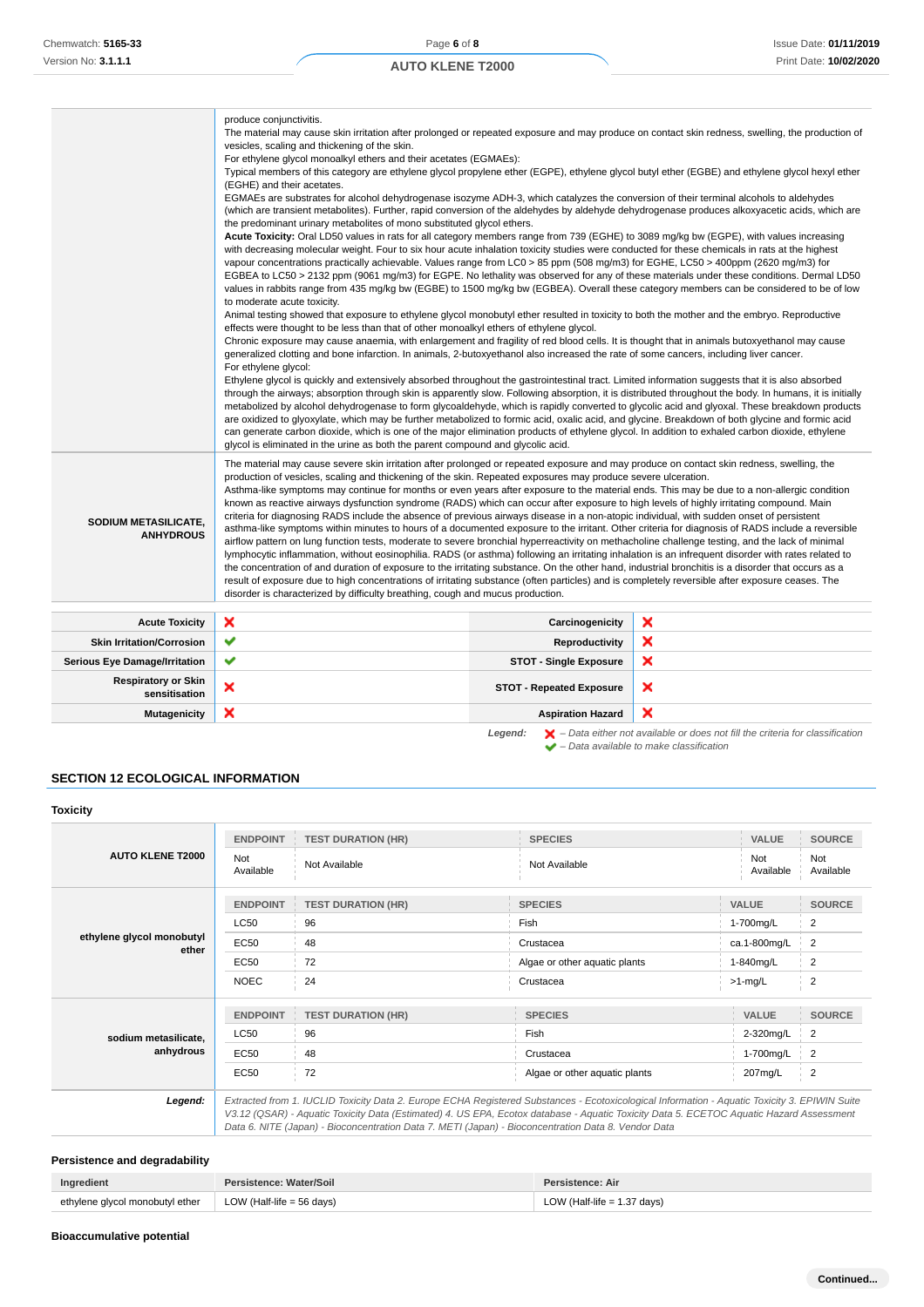|                                             | produce conjunctivitis.<br>The material may cause skin irritation after prolonged or repeated exposure and may produce on contact skin redness, swelling, the production of<br>vesicles, scaling and thickening of the skin.<br>For ethylene glycol monoalkyl ethers and their acetates (EGMAEs):<br>Typical members of this category are ethylene glycol propylene ether (EGPE), ethylene glycol butyl ether (EGBE) and ethylene glycol hexyl ether<br>(EGHE) and their acetates.<br>EGMAEs are substrates for alcohol dehydrogenase isozyme ADH-3, which catalyzes the conversion of their terminal alcohols to aldehydes<br>(which are transient metabolites). Further, rapid conversion of the aldehydes by aldehyde dehydrogenase produces alkoxyacetic acids, which are<br>the predominant urinary metabolites of mono substituted glycol ethers.<br>Acute Toxicity: Oral LD50 values in rats for all category members range from 739 (EGHE) to 3089 mg/kg bw (EGPE), with values increasing<br>with decreasing molecular weight. Four to six hour acute inhalation toxicity studies were conducted for these chemicals in rats at the highest<br>vapour concentrations practically achievable. Values range from LC0 > 85 ppm (508 mg/m3) for EGHE, LC50 > 400ppm (2620 mg/m3) for<br>EGBEA to LC50 > 2132 ppm (9061 mg/m3) for EGPE. No lethality was observed for any of these materials under these conditions. Dermal LD50<br>values in rabbits range from 435 mg/kg bw (EGBE) to 1500 mg/kg bw (EGBEA). Overall these category members can be considered to be of low<br>to moderate acute toxicity.<br>Animal testing showed that exposure to ethylene glycol monobutyl ether resulted in toxicity to both the mother and the embryo. Reproductive<br>effects were thought to be less than that of other monoalkyl ethers of ethylene glycol.<br>Chronic exposure may cause anaemia, with enlargement and fragility of red blood cells. It is thought that in animals butoxyethanol may cause<br>generalized clotting and bone infarction. In animals, 2-butoxyethanol also increased the rate of some cancers, including liver cancer.<br>For ethylene glycol:<br>Ethylene glycol is quickly and extensively absorbed throughout the gastrointestinal tract. Limited information suggests that it is also absorbed<br>through the airways; absorption through skin is apparently slow. Following absorption, it is distributed throughout the body. In humans, it is initially<br>metabolized by alcohol dehydrogenase to form glycoaldehyde, which is rapidly converted to glycolic acid and glyoxal. These breakdown products<br>are oxidized to glyoxylate, which may be further metabolized to formic acid, oxalic acid, and glycine. Breakdown of both glycine and formic acid<br>can generate carbon dioxide, which is one of the major elimination products of ethylene glycol. In addition to exhaled carbon dioxide, ethylene<br>glycol is eliminated in the urine as both the parent compound and glycolic acid. |                                 |   |
|---------------------------------------------|------------------------------------------------------------------------------------------------------------------------------------------------------------------------------------------------------------------------------------------------------------------------------------------------------------------------------------------------------------------------------------------------------------------------------------------------------------------------------------------------------------------------------------------------------------------------------------------------------------------------------------------------------------------------------------------------------------------------------------------------------------------------------------------------------------------------------------------------------------------------------------------------------------------------------------------------------------------------------------------------------------------------------------------------------------------------------------------------------------------------------------------------------------------------------------------------------------------------------------------------------------------------------------------------------------------------------------------------------------------------------------------------------------------------------------------------------------------------------------------------------------------------------------------------------------------------------------------------------------------------------------------------------------------------------------------------------------------------------------------------------------------------------------------------------------------------------------------------------------------------------------------------------------------------------------------------------------------------------------------------------------------------------------------------------------------------------------------------------------------------------------------------------------------------------------------------------------------------------------------------------------------------------------------------------------------------------------------------------------------------------------------------------------------------------------------------------------------------------------------------------------------------------------------------------------------------------------------------------------------------------------------------------------------------------------------------------------------------------------------------------------------------------------------------------------------------------------------------------------------------------------------------------------------------------------------------------------------------------------------------------------------------------------------|---------------------------------|---|
| SODIUM METASILICATE,<br><b>ANHYDROUS</b>    | The material may cause severe skin irritation after prolonged or repeated exposure and may produce on contact skin redness, swelling, the<br>production of vesicles, scaling and thickening of the skin. Repeated exposures may produce severe ulceration.<br>Asthma-like symptoms may continue for months or even years after exposure to the material ends. This may be due to a non-allergic condition<br>known as reactive airways dysfunction syndrome (RADS) which can occur after exposure to high levels of highly irritating compound. Main<br>criteria for diagnosing RADS include the absence of previous airways disease in a non-atopic individual, with sudden onset of persistent<br>asthma-like symptoms within minutes to hours of a documented exposure to the irritant. Other criteria for diagnosis of RADS include a reversible<br>airflow pattern on lung function tests, moderate to severe bronchial hyperreactivity on methacholine challenge testing, and the lack of minimal<br>lymphocytic inflammation, without eosinophilia. RADS (or asthma) following an irritating inhalation is an infrequent disorder with rates related to<br>the concentration of and duration of exposure to the irritating substance. On the other hand, industrial bronchitis is a disorder that occurs as a<br>result of exposure due to high concentrations of irritating substance (often particles) and is completely reversible after exposure ceases. The<br>disorder is characterized by difficulty breathing, cough and mucus production.                                                                                                                                                                                                                                                                                                                                                                                                                                                                                                                                                                                                                                                                                                                                                                                                                                                                                                                                                                                                                                                                                                                                                                                                                                                                                                                                                                                                                                                                                |                                 |   |
| <b>Acute Toxicity</b>                       | ×                                                                                                                                                                                                                                                                                                                                                                                                                                                                                                                                                                                                                                                                                                                                                                                                                                                                                                                                                                                                                                                                                                                                                                                                                                                                                                                                                                                                                                                                                                                                                                                                                                                                                                                                                                                                                                                                                                                                                                                                                                                                                                                                                                                                                                                                                                                                                                                                                                                                                                                                                                                                                                                                                                                                                                                                                                                                                                                                                                                                                                        | Carcinogenicity                 | × |
| <b>Skin Irritation/Corrosion</b>            | ✔                                                                                                                                                                                                                                                                                                                                                                                                                                                                                                                                                                                                                                                                                                                                                                                                                                                                                                                                                                                                                                                                                                                                                                                                                                                                                                                                                                                                                                                                                                                                                                                                                                                                                                                                                                                                                                                                                                                                                                                                                                                                                                                                                                                                                                                                                                                                                                                                                                                                                                                                                                                                                                                                                                                                                                                                                                                                                                                                                                                                                                        | <b>Reproductivity</b>           | × |
| <b>Serious Eye Damage/Irritation</b>        | ✔                                                                                                                                                                                                                                                                                                                                                                                                                                                                                                                                                                                                                                                                                                                                                                                                                                                                                                                                                                                                                                                                                                                                                                                                                                                                                                                                                                                                                                                                                                                                                                                                                                                                                                                                                                                                                                                                                                                                                                                                                                                                                                                                                                                                                                                                                                                                                                                                                                                                                                                                                                                                                                                                                                                                                                                                                                                                                                                                                                                                                                        | <b>STOT - Single Exposure</b>   | × |
| <b>Respiratory or Skin</b><br>sensitisation | ×                                                                                                                                                                                                                                                                                                                                                                                                                                                                                                                                                                                                                                                                                                                                                                                                                                                                                                                                                                                                                                                                                                                                                                                                                                                                                                                                                                                                                                                                                                                                                                                                                                                                                                                                                                                                                                                                                                                                                                                                                                                                                                                                                                                                                                                                                                                                                                                                                                                                                                                                                                                                                                                                                                                                                                                                                                                                                                                                                                                                                                        | <b>STOT - Repeated Exposure</b> | × |
| <b>Mutagenicity</b>                         | ×                                                                                                                                                                                                                                                                                                                                                                                                                                                                                                                                                                                                                                                                                                                                                                                                                                                                                                                                                                                                                                                                                                                                                                                                                                                                                                                                                                                                                                                                                                                                                                                                                                                                                                                                                                                                                                                                                                                                                                                                                                                                                                                                                                                                                                                                                                                                                                                                                                                                                                                                                                                                                                                                                                                                                                                                                                                                                                                                                                                                                                        | <b>Aspiration Hazard</b>        | × |

**Legend:**  $\mathbf{X}$  – Data either not available or does not fill the criteria for classification – Data available to make classification

## **SECTION 12 ECOLOGICAL INFORMATION**

| <b>Toxicity</b>                    |                  |                           |                                                                                                                                                                                                                                                                                                                                                                                                 |                  |                  |
|------------------------------------|------------------|---------------------------|-------------------------------------------------------------------------------------------------------------------------------------------------------------------------------------------------------------------------------------------------------------------------------------------------------------------------------------------------------------------------------------------------|------------------|------------------|
|                                    | <b>ENDPOINT</b>  | <b>TEST DURATION (HR)</b> | <b>SPECIES</b>                                                                                                                                                                                                                                                                                                                                                                                  | <b>VALUE</b>     | <b>SOURCE</b>    |
| <b>AUTO KLENE T2000</b>            | Not<br>Available | Not Available             | Not Available                                                                                                                                                                                                                                                                                                                                                                                   | Not<br>Available | Not<br>Available |
|                                    | <b>ENDPOINT</b>  | <b>TEST DURATION (HR)</b> | <b>SPECIES</b>                                                                                                                                                                                                                                                                                                                                                                                  | <b>VALUE</b>     | <b>SOURCE</b>    |
|                                    | LC50             | 96                        | Fish                                                                                                                                                                                                                                                                                                                                                                                            | 1-700mg/L        | 2                |
| ethylene glycol monobutyl<br>ether | EC50             | 48                        | Crustacea                                                                                                                                                                                                                                                                                                                                                                                       | ca.1-800mg/L     | $\overline{2}$   |
|                                    | EC50             | 72                        | Algae or other aquatic plants<br>1-840mg/L                                                                                                                                                                                                                                                                                                                                                      |                  | 2                |
|                                    | <b>NOEC</b>      | 24                        | Crustacea                                                                                                                                                                                                                                                                                                                                                                                       | $>1$ -mg/L       | $\overline{2}$   |
|                                    | <b>ENDPOINT</b>  | <b>TEST DURATION (HR)</b> | <b>SPECIES</b>                                                                                                                                                                                                                                                                                                                                                                                  | <b>VALUE</b>     | <b>SOURCE</b>    |
| sodium metasilicate,               | LC50             | 96                        | Fish                                                                                                                                                                                                                                                                                                                                                                                            | 2-320mg/L        | $\overline{2}$   |
| anhydrous                          | EC50             | 48                        | 1-700mg/L<br>Crustacea                                                                                                                                                                                                                                                                                                                                                                          |                  | 2                |
|                                    | <b>EC50</b>      | 72                        | Algae or other aquatic plants                                                                                                                                                                                                                                                                                                                                                                   | 207mg/L          | 2                |
| Legend:                            |                  |                           | Extracted from 1. IUCLID Toxicity Data 2. Europe ECHA Registered Substances - Ecotoxicological Information - Aquatic Toxicity 3. EPIWIN Suite<br>V3.12 (QSAR) - Aquatic Toxicity Data (Estimated) 4. US EPA, Ecotox database - Aquatic Toxicity Data 5. ECETOC Aquatic Hazard Assessment<br>Data 6. NITE (Japan) - Bioconcentration Data 7. METI (Japan) - Bioconcentration Data 8. Vendor Data |                  |                  |

# **Persistence and degradability**

| Ingredient                      | Persistence: Water/Soil           | <b>Persistence: Air</b>       |
|---------------------------------|-----------------------------------|-------------------------------|
| ethylene glycol monobutyl ether | $\vert$ LOW (Half-life = 56 days) | LOW (Half-life $= 1.37$ days) |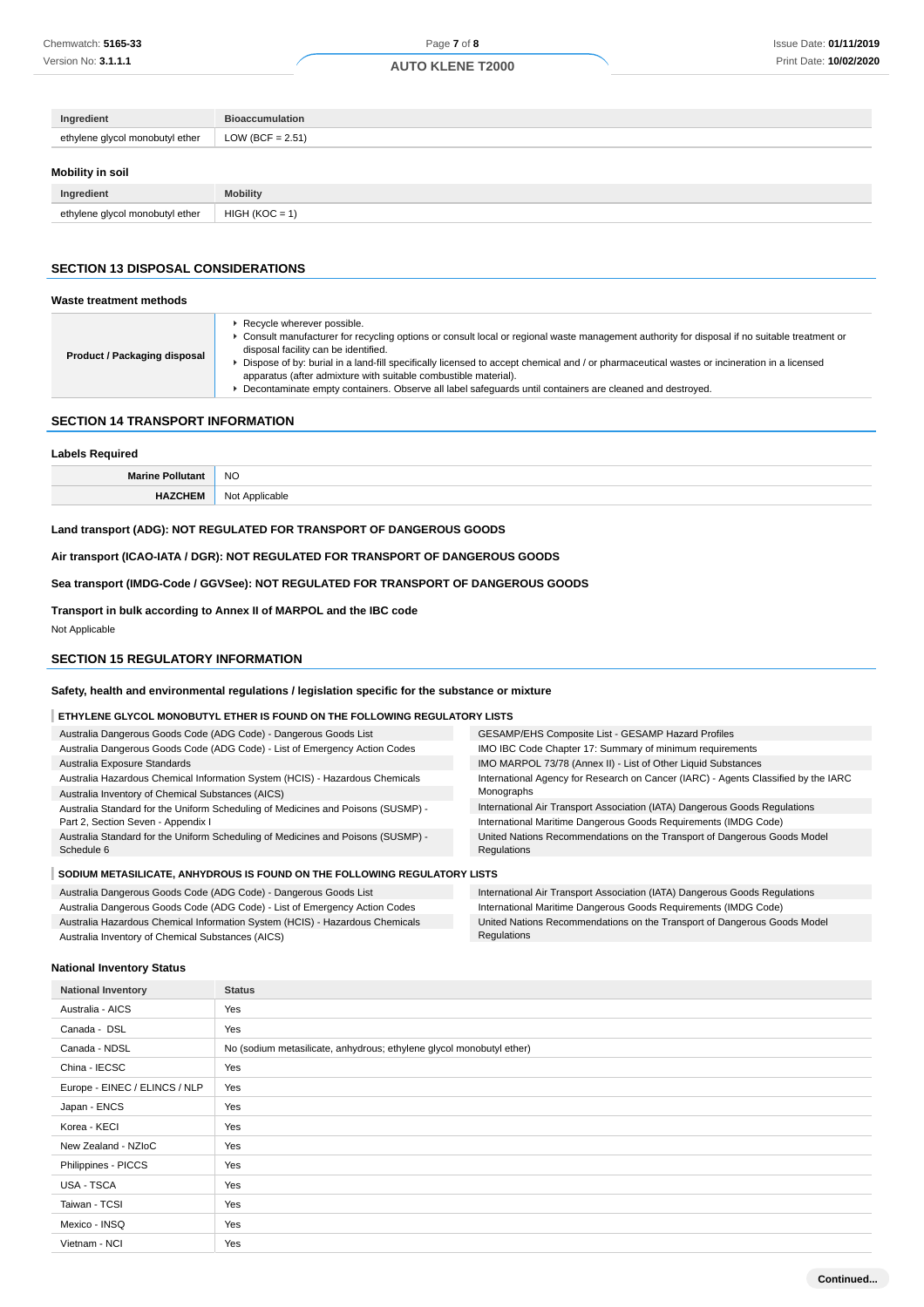| Ingredient                      | <b>Bioaccumulation</b> |  |  |  |
|---------------------------------|------------------------|--|--|--|
| ethylene glycol monobutyl ether | LOW (BCF = $2.51$ )    |  |  |  |
| Mobility in soil                |                        |  |  |  |
|                                 |                        |  |  |  |
| Ingredient                      | <b>Mobility</b>        |  |  |  |

## **SECTION 13 DISPOSAL CONSIDERATIONS**

| Waste treatment methods      |                                                                                                                                                                                                                                                                                                                                                                                                                                                                                                                                                  |
|------------------------------|--------------------------------------------------------------------------------------------------------------------------------------------------------------------------------------------------------------------------------------------------------------------------------------------------------------------------------------------------------------------------------------------------------------------------------------------------------------------------------------------------------------------------------------------------|
| Product / Packaging disposal | Recycle wherever possible.<br>► Consult manufacturer for recycling options or consult local or regional waste management authority for disposal if no suitable treatment or<br>disposal facility can be identified.<br>Dispose of by: burial in a land-fill specifically licensed to accept chemical and / or pharmaceutical wastes or incineration in a licensed<br>apparatus (after admixture with suitable combustible material).<br>Decontaminate empty containers. Observe all label safequards until containers are cleaned and destroyed. |
|                              |                                                                                                                                                                                                                                                                                                                                                                                                                                                                                                                                                  |

#### **SECTION 14 TRANSPORT INFORMATION**

## **Labels Required**

| NC                            |
|-------------------------------|
| N <sub>IO</sub><br>Annlicable |

## **Land transport (ADG): NOT REGULATED FOR TRANSPORT OF DANGEROUS GOODS**

**Air transport (ICAO-IATA / DGR): NOT REGULATED FOR TRANSPORT OF DANGEROUS GOODS**

**Sea transport (IMDG-Code / GGVSee): NOT REGULATED FOR TRANSPORT OF DANGEROUS GOODS**

**Transport in bulk according to Annex II of MARPOL and the IBC code**

Australia Dangerous Goods Code (ADG Code) - List of Emergency Action Codes Australia Hazardous Chemical Information System (HCIS) - Hazardous Chemicals

Not Applicable

## **SECTION 15 REGULATORY INFORMATION**

### **Safety, health and environmental regulations / legislation specific for the substance or mixture**

## **ETHYLENE GLYCOL MONOBUTYL ETHER IS FOUND ON THE FOLLOWING REGULATORY LISTS**

| Australia Dangerous Goods Code (ADG Code) - Dangerous Goods List                 | GESAMP/EHS Composite List - GESAMP Hazard Profiles                                 |  |  |  |
|----------------------------------------------------------------------------------|------------------------------------------------------------------------------------|--|--|--|
| Australia Dangerous Goods Code (ADG Code) - List of Emergency Action Codes       | IMO IBC Code Chapter 17: Summary of minimum requirements                           |  |  |  |
| Australia Exposure Standards                                                     | IMO MARPOL 73/78 (Annex II) - List of Other Liquid Substances                      |  |  |  |
| Australia Hazardous Chemical Information System (HCIS) - Hazardous Chemicals     | International Agency for Research on Cancer (IARC) - Agents Classified by the IARC |  |  |  |
| Australia Inventory of Chemical Substances (AICS)                                | Monographs                                                                         |  |  |  |
| Australia Standard for the Uniform Scheduling of Medicines and Poisons (SUSMP) - | International Air Transport Association (IATA) Dangerous Goods Regulations         |  |  |  |
| Part 2, Section Seven - Appendix I                                               | International Maritime Dangerous Goods Requirements (IMDG Code)                    |  |  |  |
| Australia Standard for the Uniform Scheduling of Medicines and Poisons (SUSMP) - | United Nations Recommendations on the Transport of Dangerous Goods Model           |  |  |  |
| Schedule 6                                                                       | Regulations                                                                        |  |  |  |
|                                                                                  |                                                                                    |  |  |  |
| SODIUM METASILICATE, ANHYDROUS IS FOUND ON THE FOLLOWING REGULATORY LISTS        |                                                                                    |  |  |  |
| Australia Dangerous Goods Code (ADG Code) - Dangerous Goods List                 | International Air Transport Association (IATA) Dangerous Goods Regulations         |  |  |  |

Regulations

International Maritime Dangerous Goods Requirements (IMDG Code) United Nations Recommendations on the Transport of Dangerous Goods Model

# Australia Inventory of Chemical Substances (AICS)

**National Inventory Status**

| <b>National Inventory</b>     | <b>Status</b>                                                        |
|-------------------------------|----------------------------------------------------------------------|
| Australia - AICS              | Yes                                                                  |
| Canada - DSL                  | Yes                                                                  |
| Canada - NDSL                 | No (sodium metasilicate, anhydrous; ethylene glycol monobutyl ether) |
| China - IECSC                 | Yes                                                                  |
| Europe - EINEC / ELINCS / NLP | Yes                                                                  |
| Japan - ENCS                  | Yes                                                                  |
| Korea - KECI                  | Yes                                                                  |
| New Zealand - NZIoC           | Yes                                                                  |
| Philippines - PICCS           | Yes                                                                  |
| USA - TSCA                    | Yes                                                                  |
| Taiwan - TCSI                 | Yes                                                                  |
| Mexico - INSQ                 | Yes                                                                  |
| Vietnam - NCI                 | Yes                                                                  |